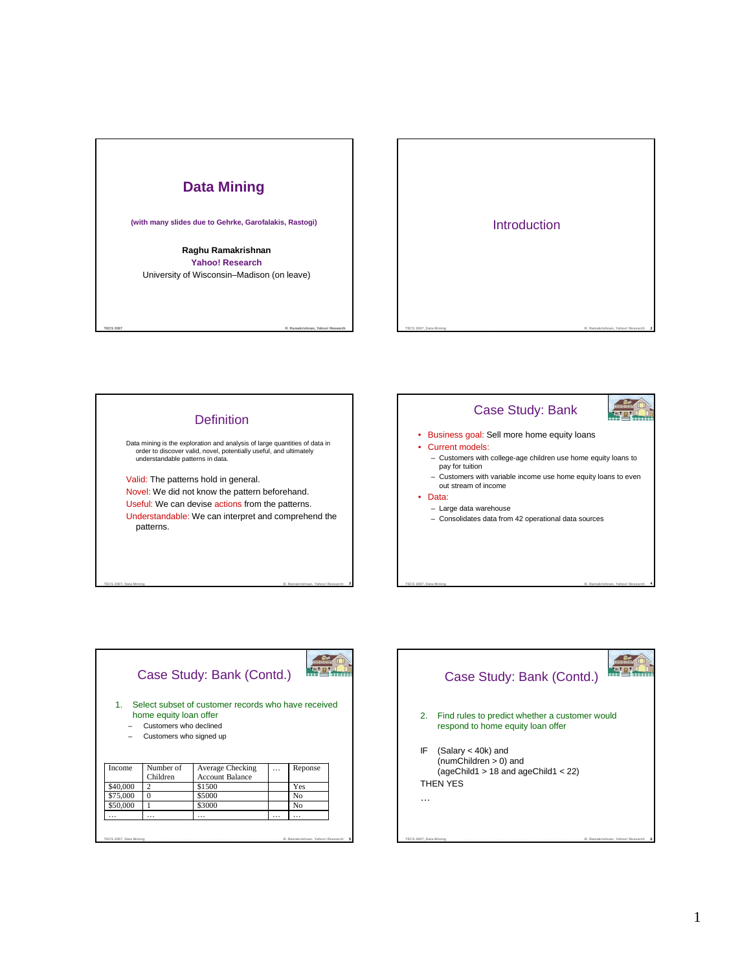





**Control** 



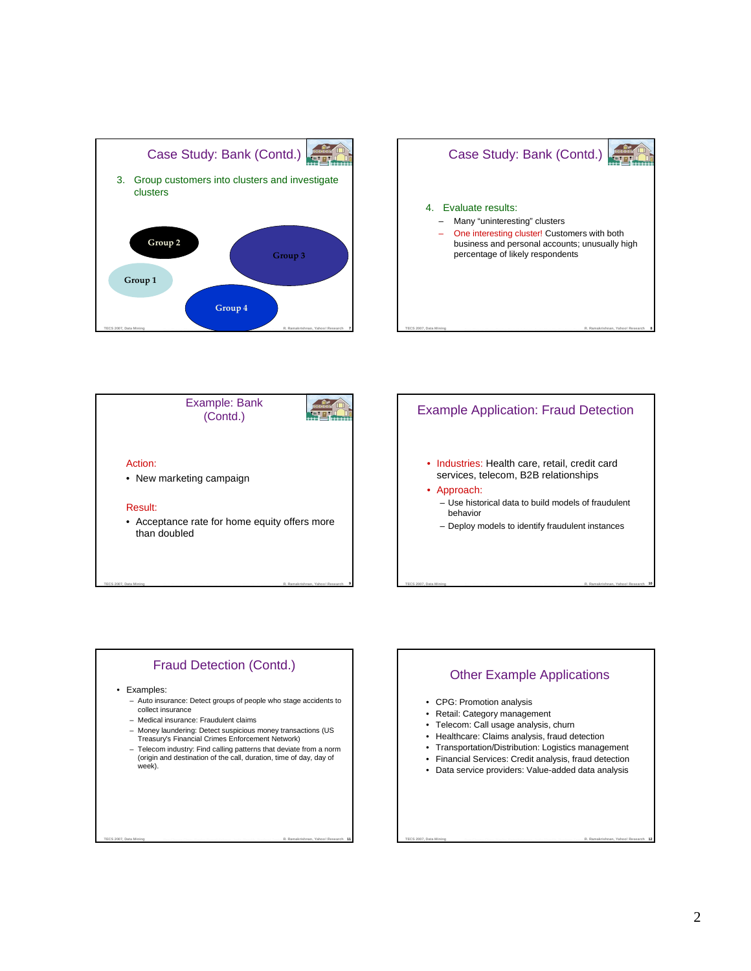







# Fraud Detection (Contd.)

TECS 2007, Data Mining **Characterist Characterist Company Control** Resolution and Shaville Process Tom **R. Ramakrishnan, Yahoo! Research** 

#### • Examples:

- Auto insurance: Detect groups of people who stage accidents to collect insurance
- Medical insurance: Fraudulent claims
- Money laundering: Detect suspicious money transactions (US Treasury's Financial Crimes Enforcement Network)
- Telecom industry: Find calling patterns that deviate from a norm (origin and destination of the call, duration, time of day, day of week).

TECS 2007, Data Mining **Contract Company Company Company Company Company Company Company Company Company Company Company Company Company Company Company Company Company Company Company Company Company Company Company Compa** 

# Other Example Applications

TECS 2007, Data Mining **Contract Character Contract Contract Contract Contract Contract Contract Contract Contract Contract Contract Contract Contract Contract Contract Contract Contract Contract Contract Contract Contract** 

- CPG: Promotion analysis
- Retail: Category management
- Telecom: Call usage analysis, churn
- Healthcare: Claims analysis, fraud detection
- Transportation/Distribution: Logistics management
- Financial Services: Credit analysis, fraud detection
- Data service providers: Value-added data analysis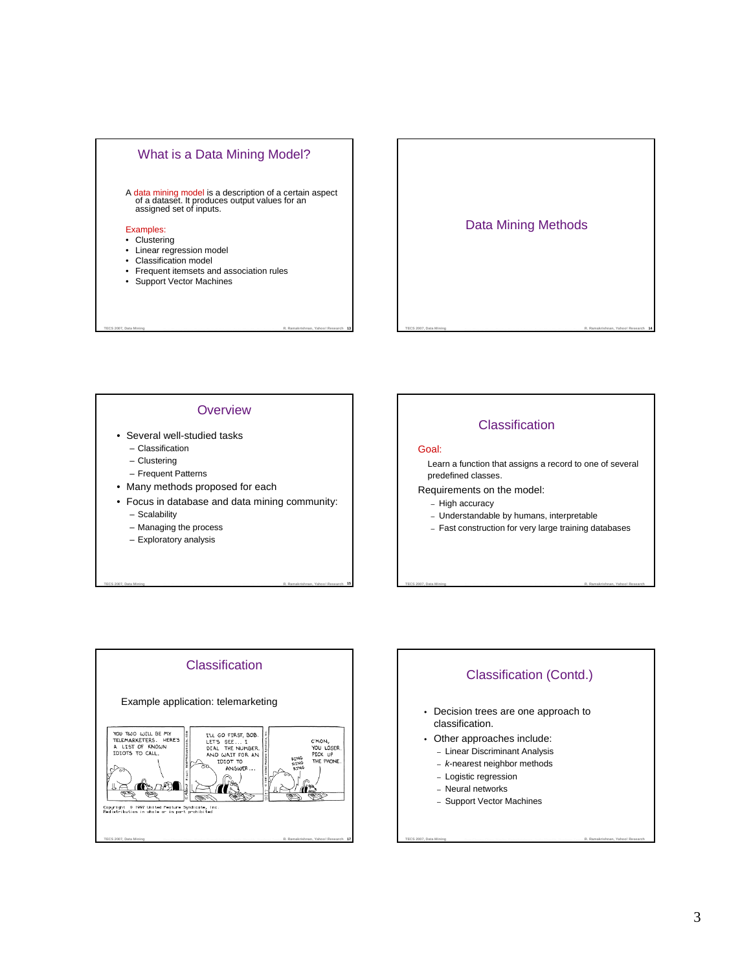

# Data Mining Methods

TECS 2007, Data Mining **Manual Company Character Resolution Constitution** and Sharelly Production Tommer R. Ramakrishnan, Yahoo! Research 14

### **Overview**

- Several well-studied tasks
	- Classification
	- Clustering
	- Frequent Patterns
- Many methods proposed for each
- Focus in database and data mining community:

TECS 2007, Data Mining **Manual Property Character Resolution Property Forms and Shaville Process Tom R. Ramakrishnan, Yahoo! Research 15** 

– Scalability

- Managing the process
- Exploratory analysis







**TECS 2007, Data Mining Bee-Chung Chen, Raghu Ramakrishnan, Jude Shavlik, Pradeep TammaR. Ramakrishnan, Yahoo! Research**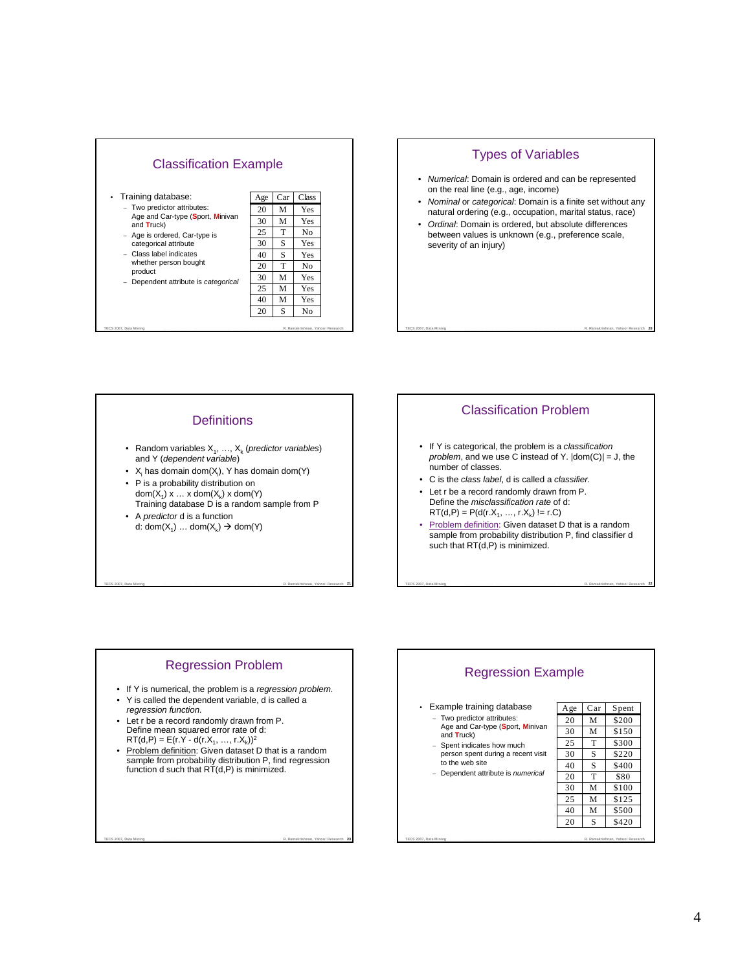

# TECS 2007, Data Mining **Manual Company Character Resolution Constitution** and Shariffe Development Theory Theory **R. Ramakrishnan, Yahoo! Research 20** Types of Variables • Numerical: Domain is ordered and can be represented on the real line (e.g., age, income) • Nominal or categorical: Domain is a finite set without any natural ordering (e.g., occupation, marital status, race) • Ordinal: Domain is ordered, but absolute differences between values is unknown (e.g., preference scale, severity of an injury)

# **Definitions**

- Random variables  $X_1, ..., X_k$  (predictor variables) and Y (dependent variable)
- $X_i$  has domain dom $(X_i)$ , Y has domain dom $(Y)$
- P is a probability distribution on dom $(X_1)$  x  $\ldots$  x dom $(X_k)$  x dom $(Y)$ Training database D is a random sample from P
- A *predictor* d is a function d: dom( $X_1$ ) ... dom( $X_k$ )  $\rightarrow$  dom(Y)

# Classification Problem

- If Y is categorical, the problem is a classification problem, and we use C instead of Y.  $|dom(C)| = J$ , the number of classes.
- C is the class label, d is called a classifier.
- Let r be a record randomly drawn from P. Define the misclassification rate of d:  $RT(d, P) = P(d(r.X_1, ..., r.X_k) != r.C)$
- Problem definition: Given dataset D that is a random sample from probability distribution P, find classifier d such that RT(d,P) is minimized.

TECS 2007, Data Mining **Contract Character Contract Constitution** Constitution and Constitution Constitution Times R. Ramakrishnan, Yahoo! Research 22

# Regression Problem

TECS 2007, Data Mining **Characterist Characterist Computer Control** Resolution and Shaville Production Times **R. Ramakrishnan, Yahoo! Research** 21

- If Y is numerical, the problem is a regression problem.
- Y is called the dependent variable, d is called a
- regression function. • Let r be a record randomly drawn from P. Define mean squared error rate of d:  $RT(d, P) = E(r.Y - d(r.X_1, ..., r.X_k))^2$
- Problem definition: Given dataset D that is a random sample from probability distribution P, find regression function d such that RT(d,P) is minimized.

TECS 2007, Data Mining **23 Company Chapter Company Company Company Company Company Company Company Company Company Company Company Company Company Company Company Company Company Company Company Company Company Company Com** 

# Regression Example

# • Example training database

- Two predictor attributes: Age and Car-type (**S**port, **M**inivan and **T**ruck)
- Spent indicates how much person spent during a recent visit to the web site
- Dependent attribute is numerical

| • Example training database                                                                                                                                                                              | Age | Car | Spent                            |
|----------------------------------------------------------------------------------------------------------------------------------------------------------------------------------------------------------|-----|-----|----------------------------------|
| - Two predictor attributes:<br>Age and Car-type (Sport, Minivan<br>and Truck)<br>- Spent indicates how much<br>person spent during a recent visit<br>to the web site<br>Dependent attribute is numerical | 20  | М   | \$200                            |
|                                                                                                                                                                                                          | 30  | М   | \$150                            |
|                                                                                                                                                                                                          | 25  | т   | \$300                            |
|                                                                                                                                                                                                          | 30  | S   | \$220                            |
|                                                                                                                                                                                                          | 40  | S   | \$400                            |
|                                                                                                                                                                                                          | 20  | т   | \$80                             |
|                                                                                                                                                                                                          | 30  | M   | \$100                            |
|                                                                                                                                                                                                          | 25  | M   | \$125                            |
|                                                                                                                                                                                                          | 40  | М   | \$500                            |
|                                                                                                                                                                                                          | 20  | S   | \$420                            |
| TECS 2007, Data Mining                                                                                                                                                                                   |     |     | R. Ramakrishnan, Yahoo! Research |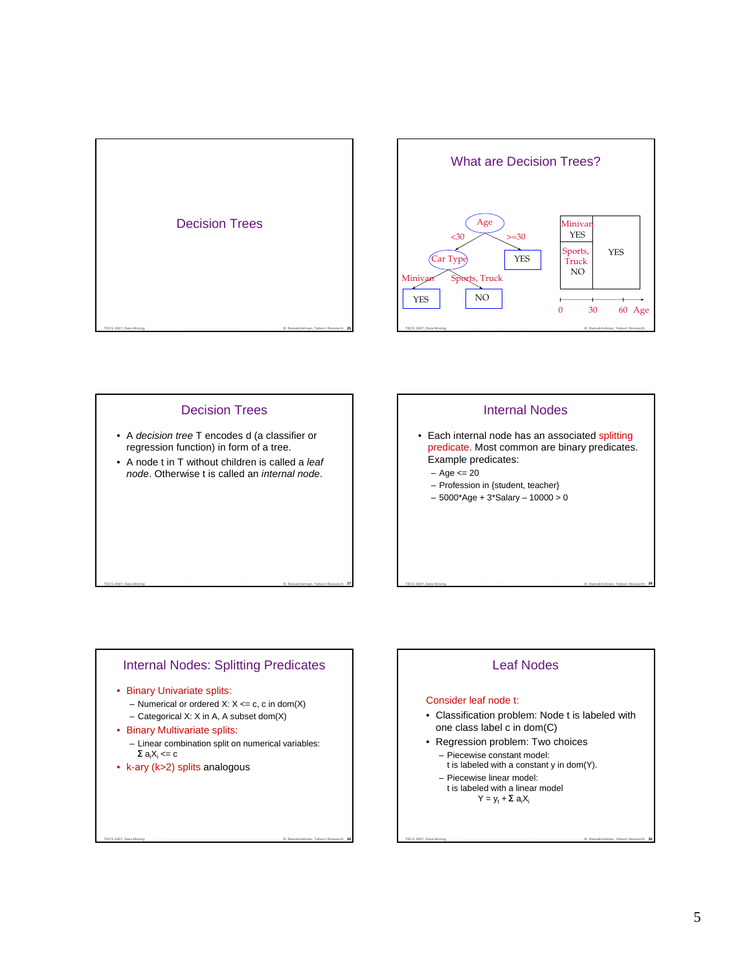



# Decision Trees • A decision tree T encodes d (a classifier or regression function) in form of a tree.

• A node t in T without children is called a leaf node. Otherwise t is called an internal node.

# Internal Nodes

- Each internal node has an associated splitting predicate. Most common are binary predicates. Example predicates:
	- Age <= 20
	- Profession in {student, teacher}
	- 5000\*Age + 3\*Salary 10000 > 0

# Internal Nodes: Splitting Predicates

TECS 2007, Data Mining **Characterist Computer Resolution Computer Constitution** and Shaville Protocomputer P. R. Ramakrishnan, Yahoo! Research 27

- Binary Univariate splits:
	- Numerical or ordered X:  $X \leq c$ , c in dom(X)
	- Categorical X: X in A, A subset dom(X)
- Binary Multivariate splits:
- Linear combination split on numerical variables:  $\Sigma$  a<sub>i</sub>X<sub>i</sub> <= c

TECS 2007, Data Mining **29 Company Chapter Company Company Company Company Company Company Company Company Company Company Company Company Company Company Company Company Company Company Company Company Company Company Com** 

• k-ary (k>2) splits analogous

# Leaf Nodes

TECS 2007, Data Mining **Manual Company Character Resolutions and Starting Profession R. Ramakrishnan, Yahoo! Research 28** 

### Consider leaf node t:

- Classification problem: Node t is labeled with one class label c in dom(C)
- Regression problem: Two choices – Piecewise constant model:
	- t is labeled with a constant y in dom(Y).

- Piecewise linear model:
- t is labeled with a linear model  $Y = y_t + \Sigma a_i X_i$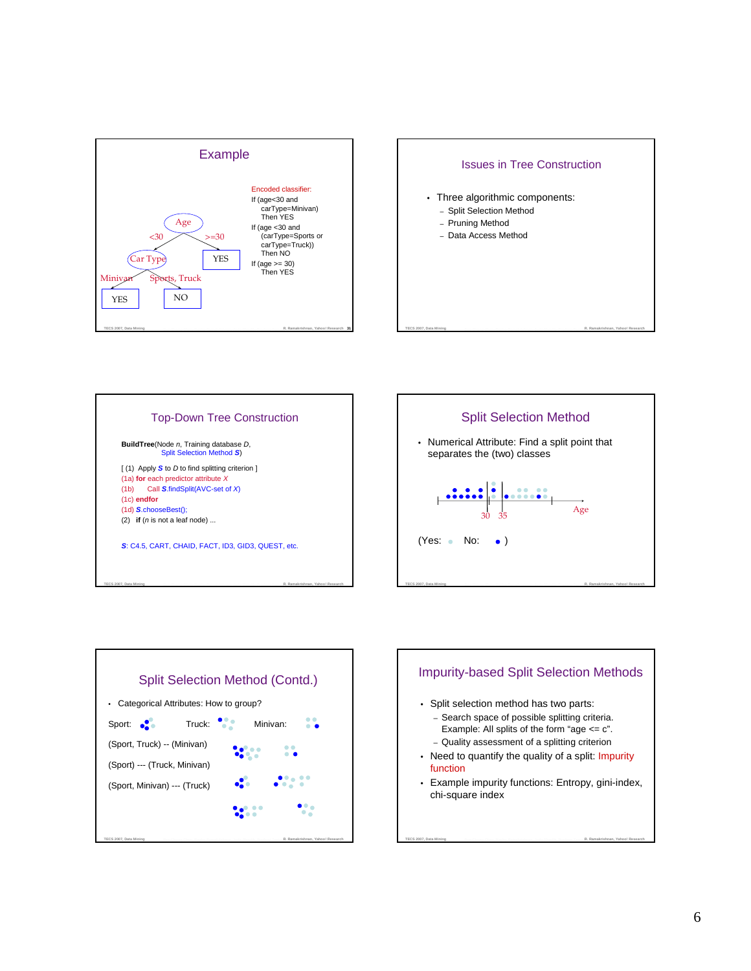









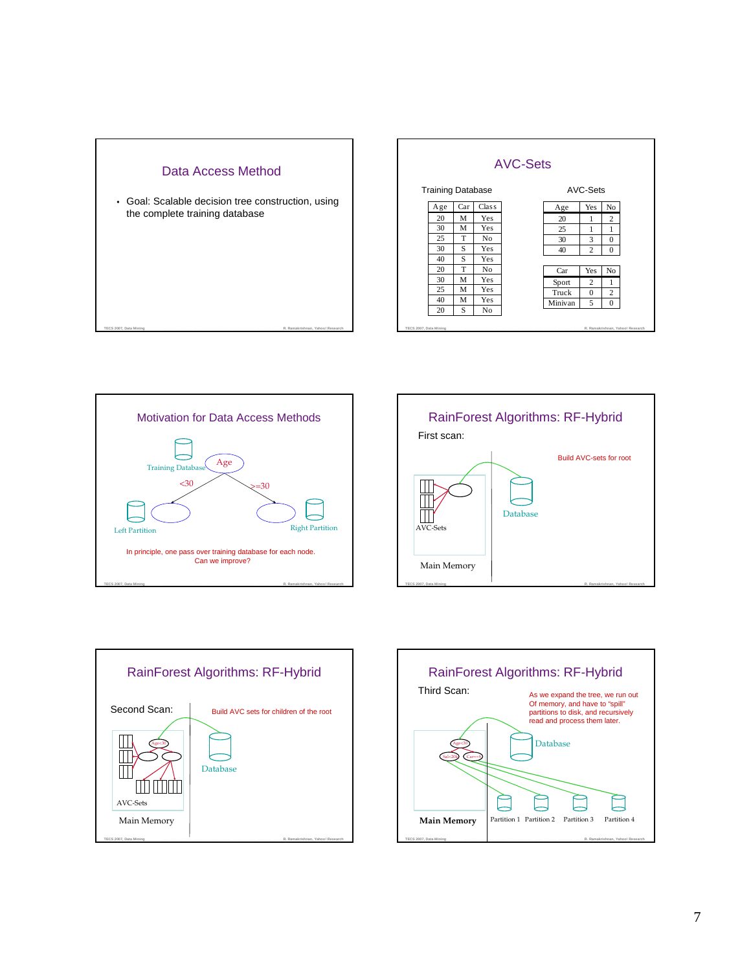









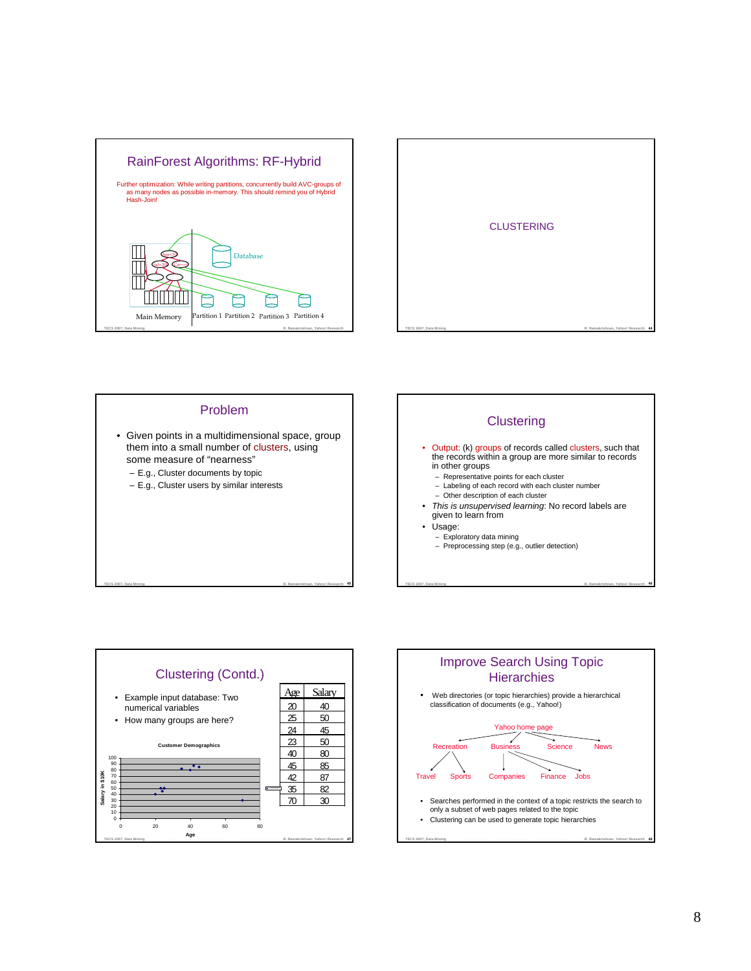









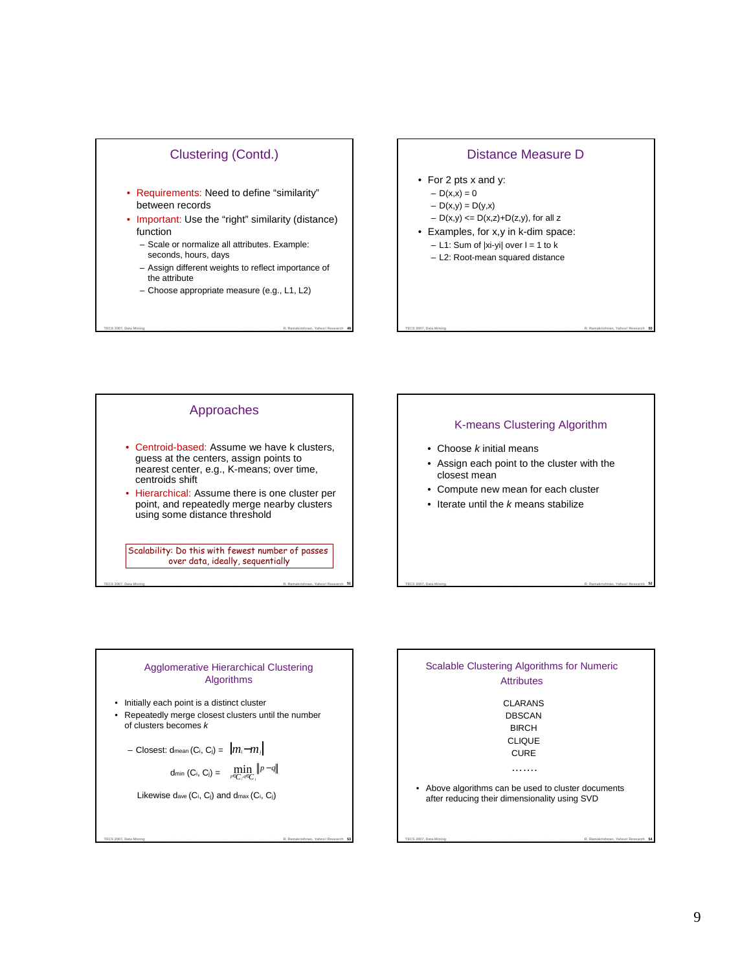# Clustering (Contd.)

- Requirements: Need to define "similarity" between records
- Important: Use the "right" similarity (distance) function
	- Scale or normalize all attributes. Example: seconds, hours, days
	- Assign different weights to reflect importance of the attribute
	- Choose appropriate measure (e.g., L1, L2)

TECS 2007, Data Mining **Manual Property Company Resolutions** and the Share Production Tom R. Ramakrishnan, Yahoo! Research 49

# Distance Measure D • For 2 pts x and y:  $- D(x,x) = 0$  $-D(x,y) = D(y,x)$  $- D(x,y) \le D(x,z) + D(z,y)$ , for all z • Examples, for x,y in k-dim space:  $-$  L1: Sum of  $|x_i-y_i|$  over  $l = 1$  to  $k$ – L2: Root-mean squared distance



# K-means Clustering Algorithm

TECS 2007, Data Mining **Manual Company Character Resolution Constitution** and Shaville Development Theory T. R. Ramakrishnan, Yahoo! Research 50

- $\bullet$  Choose  $k$  initial means
- Assign each point to the cluster with the closest mean

TECS 2007, Data Mining **Contract Character Contract Contract Contract Contract Contract Times R. Ramakrishnan, Yahoo! Research 52** 

- Compute new mean for each cluster
- $\bullet$  Iterate until the  $k$  means stabilize

#### Agglomerative Hierarchical Clustering Algorithms

TECS 2007, Data Mining **Characterist Characterist Computer Control** Resolution and Shaville Production Tom **R. Ramakrishnan, Yahoo! Research 51** 

• Initially each point is a distinct cluster

• Repeatedly merge closest clusters until the number of clusters becomes k

$$
- \text{ Closest: dmean} (C_i, C_j) = \|m_i - m_j\|
$$

$$
\dim\left(C_i, C_j\right) = \min_{p \in C_i, q \in C_j} \left\|p - q\right\|
$$

TECS 2007, Data Mining **Channel Channel Company Company Company Company Company Company Company Company Company Company Company Company Company Company Company Company Company Company Company Company Company Company Compan** 

Likewise dave (Ci, Cj) and dmax (Ci, Cj)

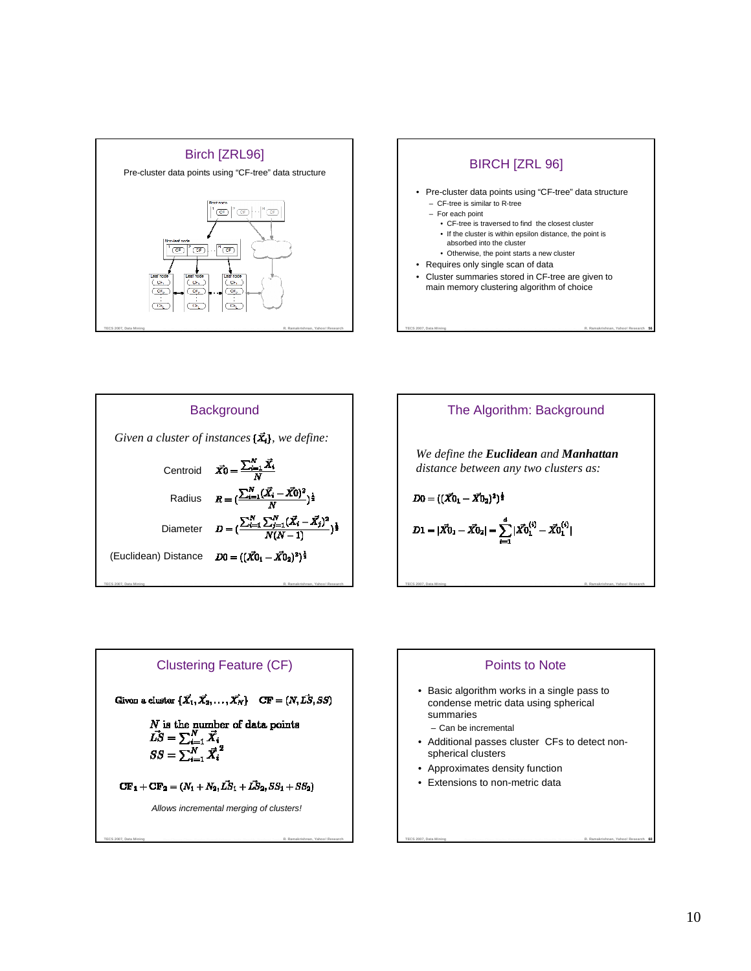









**TECS 2007, Data Mining Bee-Chung Chen, Raghu Ramakrishnan, Jude Shavlik, Pradeep TammaR. Ramakrishnan, Yahoo! Research**

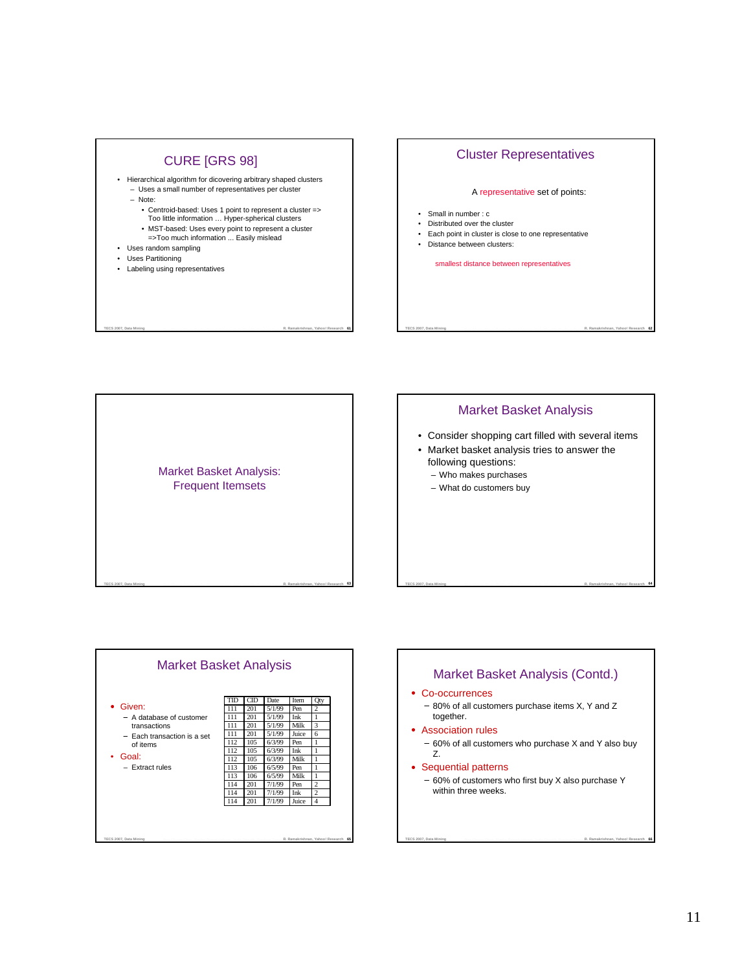

# Cluster Representatives

#### A representative set of points:

- Small in number : c
- Distributed over the cluster
- Each point in cluster is close to one representative
- Distance between clusters:

smallest distance between representatives







# 11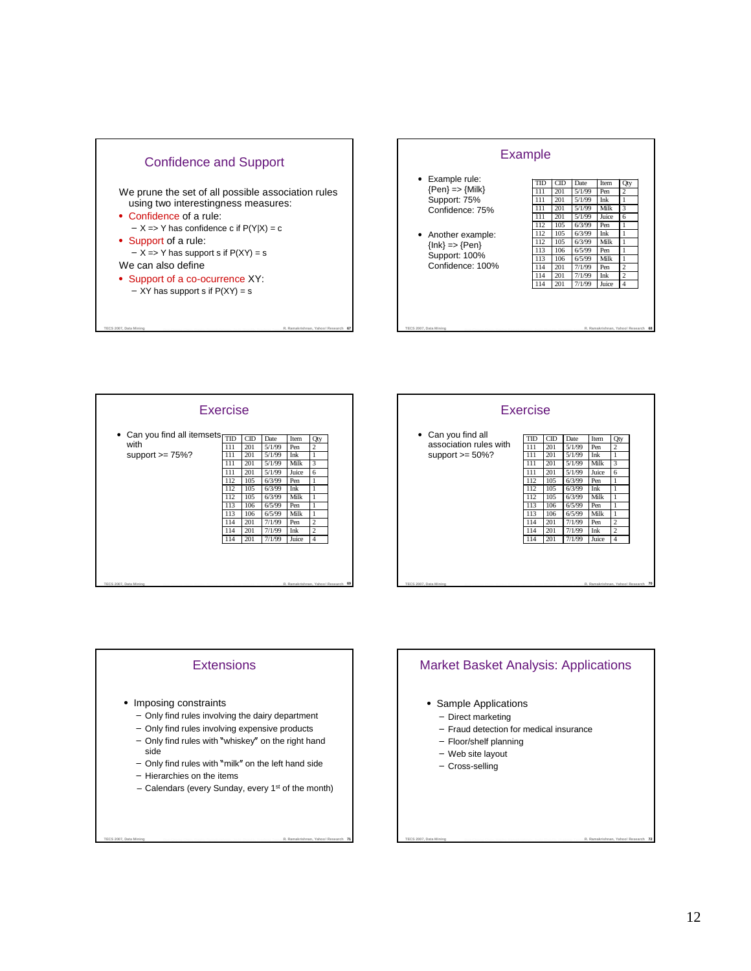





|                                                                       | Exercise                                                                                |                                                                                        |                                                                                                                                     |                                                                                                 |                                                                                                                     |  |
|-----------------------------------------------------------------------|-----------------------------------------------------------------------------------------|----------------------------------------------------------------------------------------|-------------------------------------------------------------------------------------------------------------------------------------|-------------------------------------------------------------------------------------------------|---------------------------------------------------------------------------------------------------------------------|--|
| • Can you find all<br>association rules with<br>support $\geq 50\%$ ? | TID<br>111<br>111<br>111<br>111<br>112<br>112<br>112<br>113<br>113<br>114<br>114<br>114 | CD<br>201<br>201<br>201<br>201<br>105<br>105<br>105<br>106<br>106<br>201<br>201<br>201 | <b>Date</b><br>5/1/99<br>5/1/99<br>5/1/99<br>5/1/99<br>6/3/99<br>6/3/99<br>6/3/99<br>6/5/99<br>6/5/99<br>7/1/99<br>7/1/99<br>7/1/99 | Item<br>Pen<br>Ink<br>Milk<br>Juice<br>Pen<br>Ink<br>Milk<br>Pen<br>Milk<br>Pen<br>Ink<br>Juice | Qty<br>$\overline{c}$<br>1<br>3<br>6<br>1<br>1<br>1<br>1<br>1<br>$\overline{c}$<br>$\overline{c}$<br>$\overline{4}$ |  |
| TECS 2007, Data Mining                                                |                                                                                         |                                                                                        |                                                                                                                                     |                                                                                                 | R. Ramakrishnan, Yahoo! Research 70                                                                                 |  |

# **Extensions**

- Imposing constraints
	- Only find rules involving the dairy department
	- Only find rules involving expensive products
	- Only find rules with "whiskey" on the right hand side
	- Only find rules with "milk" on the left hand side
	- Hierarchies on the items
	- Calendars (every Sunday, every 1 st of the month)

TECS 2007, Data Mining **Contract Company Company Company Company Company Company Company Company Company Company Company Company Company Company Company Company Company Company Company Company Company Company Company Compa** 

# Market Basket Analysis: Applications

- Sample Applications
	- Direct marketing
	- Fraud detection for medical insurance
	- Floor/shelf planning
	- Web site layout
	- Cross-selling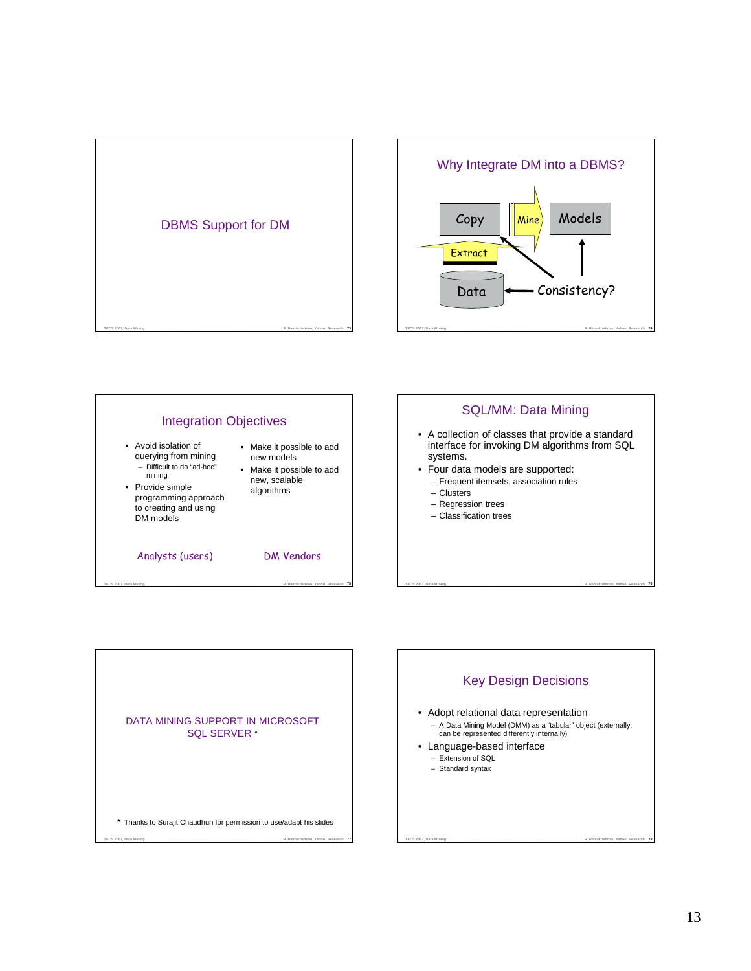







DATA MINING SUPPORT IN MICROSOFT SQL SERVER \*

Key Design Decisions

• Adopt relational data representation – A Data Mining Model (DMM) as a "tabular" object (externally; can be represented differently internally)

- Language-based interface
	- Extension of SQL
	- Standard syntax
- TECS 2007, Data Mining **Contract Company Company Company Company** Company in the Section Process Company Company of **Contract Company of Company Company** Company of the Company of the Company of the Company of the Company Thanks to Surajit Chaudhuri for permission to use/adapt his slides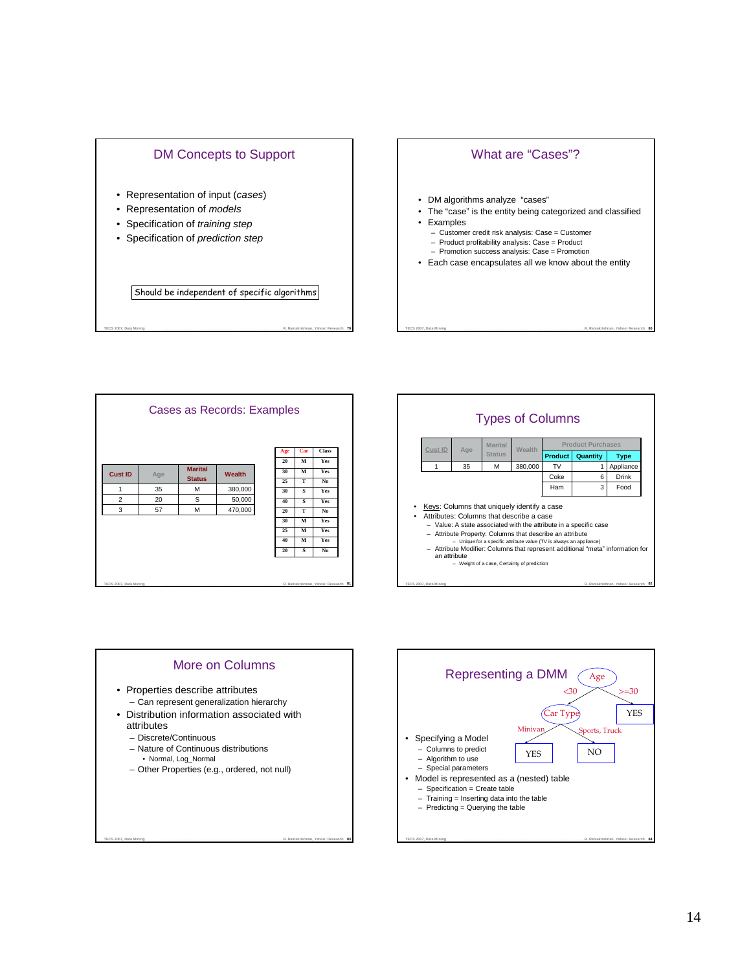

# What are "Cases"?

- DM algorithms analyze "cases"
- The "case" is the entity being categorized and classified
- Examples – Customer credit risk analysis: Case = Customer – Product profitability analysis: Case = Product
	- Promotion success analysis: Case = Promotion
- Each case encapsulates all we know about the entity

TECS 2007, Data Mining **Manual Company Character Resolution Constitution** and Shaville Production Tommer R. Ramakrishnan, Yahoo! Research 80

TECS 2007, Data Mining **Characterist Company Resolution Company Resolution** and Shaville Production Tom **R. Ramakrishnan, Yahoo! Research 81** Cases as Records: Examples M S M **Marital Status** 3 57 M 470,000 20 | S | 50,000 35 M 380,000 **Cust ID Age Marital Wealth Age Car Class 20 M Yes 30 M Yes 25 T No 30 S Yes 40 S Yes 20 T No 30 M Yes 25 M Yes 40 M Yes 20 S No**

TECS 2007, Data Mining **Manual Property Character Resolutions and Security Property Tomas T. R. Ramakrishnan, Yahoo! Research 79** 





– Other Properties (e.g., ordered, not null)

TECS 2007, Data Mining **Channel Channel Company Company Company Company Company Company Company Company Company Company Company Company Company Company Company Company Company Company Company Company Company Company Compan** 

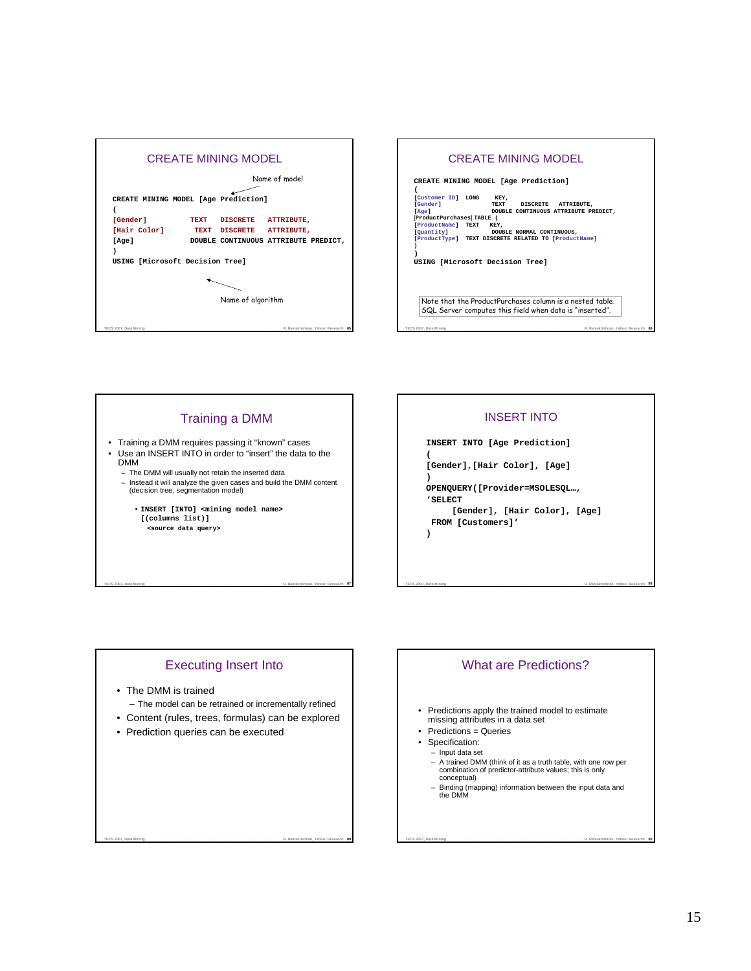

# Training a DMM

- Training a DMM requires passing it "known" cases • Use an INSERT INTO in order to "insert" the data to the DMM
	- The DMM will usually not retain the inserted data – Instead it will analyze the given cases and build the DMM content (decision tree, segmentation model)
		- **INSERT [INTO] <mining model name> [(columns list)] <source data query>**

# INSERT INTO

**INSERT INTO [Age Prediction] ( [Gender],[Hair Color], [Age] ) OPENQUERY([Provider=MSOLESQL…, 'SELECT**

**[Gender], [Hair Color], [Age] FROM [Customers]' )**

Executing Insert Into

TECS 2007, Data Mining **Character Character Resolution Propose** and Shaville Production Time**r R. Ramakrishnan, Yahoo! Research 87** 

- The DMM is trained
- The model can be retrained or incrementally refined
- Content (rules, trees, formulas) can be explored

TECS 2007, Data Mining **Channel Channel Company Company Company Company Company Company Company Company Company Company Company Company Company Company Company Company Company Company Company Company Company Company Compan** 

• Prediction queries can be executed

# What are Predictions?

TECS 2007, Data Mining **Contract Character Contract Contract Contract Contract Contract Times R. Ramakrishnan, Yahoo! Research 88** 

- Predictions apply the trained model to estimate missing attributes in a data set
- Predictions = Queries
- Specification:
- Input data set
- A trained DMM (think of it as a truth table, with one row per combination of predictor-attribute values; this is only conceptual)
- Binding (mapping) information between the input data and the DMM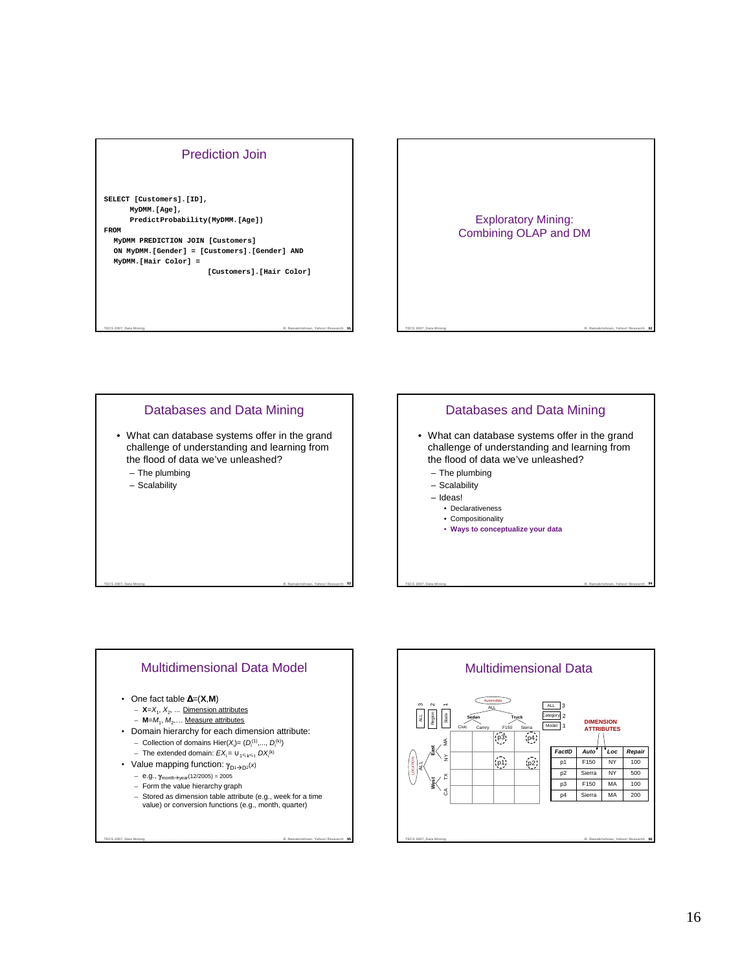



### TECS 2007, Data Mining **Characterian Characterian Resolution and Security Profession Tomm R. Ramakrishnan, Yahoo! Research 93** Databases and Data Mining • What can database systems offer in the grand challenge of understanding and learning from the flood of data we've unleashed? – The plumbing – Scalability Databases and Data Mining • What can database systems offer in the grand challenge of understanding and learning from the flood of data we've unleashed? – The plumbing – Scalability – Ideas! • Declarativeness • Compositionality



# Multidimensional Data Model

# • One fact table ∆=(**X**,**M**)

- **X**=X<sub>1</sub>, X<sub>2</sub>, ... <u>Dimension attributes</u>
- **M**=M<sup>1</sup> , M<sup>2</sup> ,… Measure attributes
- Domain hierarchy for each dimension attribute: - Collection of domains Hier( $X_i$ )=  $(D_i^{(1)},..., D_i^{(k)})$ 
	- The extended domain:  $EX_i = ∪_{1 ≤ k ≤ t} DX_i^{(k)}$
- Value mapping function:  $\gamma_{D^1 \rightarrow D^2}(x)$ 
	- $-$  e.g.,  $\gamma_{\text{month}\to\text{year}}(12/2005) = 2005$
	- Form the value hierarchy graph
	- Stored as dimension table attribute (e.g., week for a time value) or conversion functions (e.g., month, quarter)

TECS 2007, Data Mining **Contract Company Company Company Company Company Company Company Company Company Company Company Company Company Company Company Company Company Company Company Company Company Company Company Compa** 

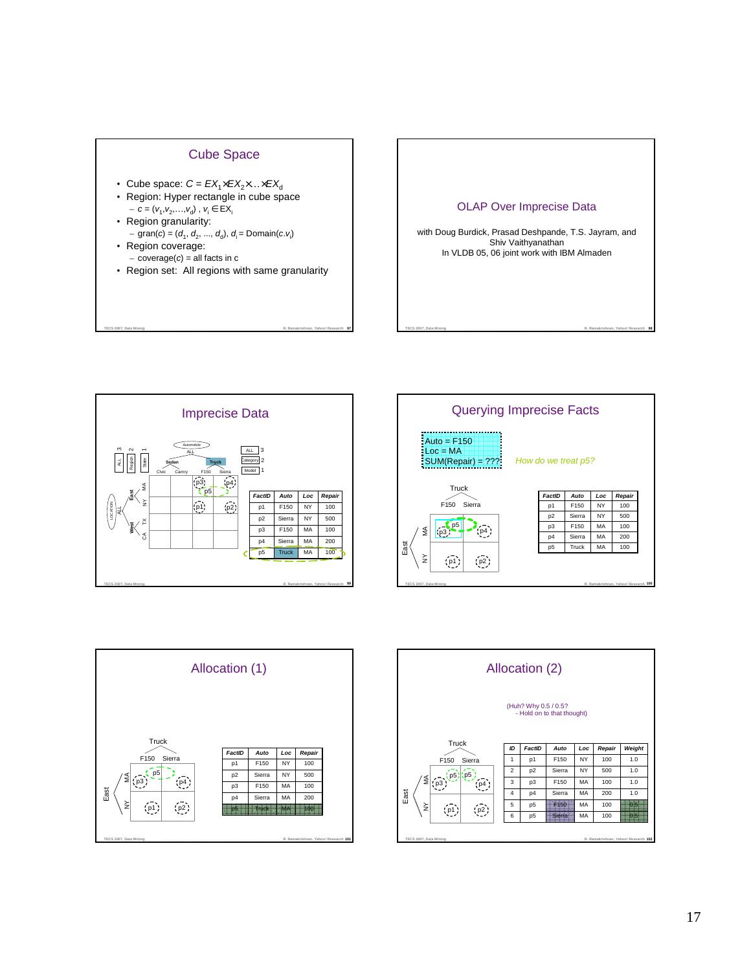

- Cube space:  $C = EX_1 \times EX_2 \times ... \times EX_d$
- Region: Hyper rectangle in cube space  $-c = (v_1, v_2,...,v_d)$ ,  $v_i \in EX_i$
- Region granularity:  $-$  gran(c) = (d<sub>1</sub>, d<sub>2</sub>, ..., d<sub>d</sub>), d<sub>i</sub> = Domain(c.v<sub>i</sub>) • Region coverage:
- coverage $(c)$  = all facts in c
- Region set: All regions with same granularity

TECS 2007, Data Mining **Annald Company Channel Company Reserves Constitutions** and Shaville Protection Tomm**, R. Ramakrishnan, Yahoo! Research 97** 









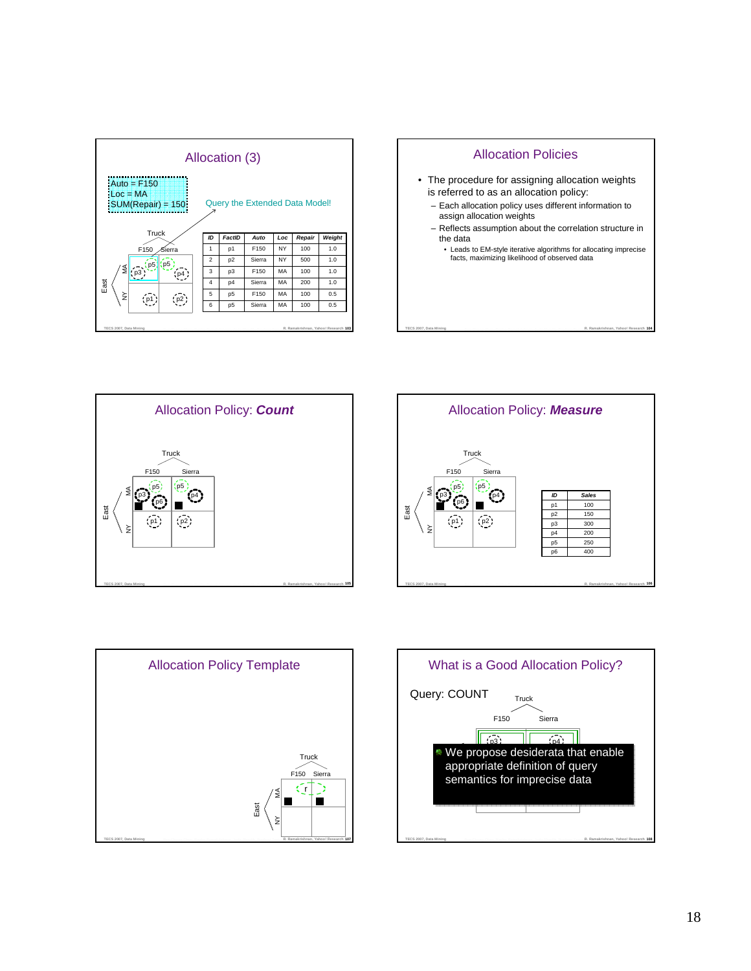| Allocation (3)                                                                        |                         |                |                  |     |        |                                      |  |  |  |
|---------------------------------------------------------------------------------------|-------------------------|----------------|------------------|-----|--------|--------------------------------------|--|--|--|
| $Auto = F150$<br>$Loc = MA$<br>Query the Extended Data Model!<br>$:SUM(Repair) = 150$ |                         |                |                  |     |        |                                      |  |  |  |
| Truck                                                                                 | ID                      | FactID         | Auto             | Loc | Repair | Weight                               |  |  |  |
| F150<br>Sierra                                                                        | 1                       | p1             | F150             | NY  | 100    | 1.0                                  |  |  |  |
| $\frac{1}{2}$ p5                                                                      | $\mathfrak{p}$          | p <sub>2</sub> | Sierra           | NY  | 500    | 1.0                                  |  |  |  |
| ≶<br>$\mathsf{p}$ p3                                                                  | 3                       | p <sub>3</sub> | F <sub>150</sub> | MA  | 100    | 1.0                                  |  |  |  |
| East                                                                                  | $\overline{\mathbf{4}}$ | p4             | Sierra           | MA  | 200    | 1.0                                  |  |  |  |
| ≩                                                                                     | 5                       | p <sub>5</sub> | F150             | MA  | 100    | 0.5                                  |  |  |  |
|                                                                                       | 6                       | p <sub>5</sub> | Sierra           | MA  | 100    | 0.5                                  |  |  |  |
| TECS 2007, Data Mining                                                                |                         |                |                  |     |        | R. Ramakrishnan, Yahoo! Research 103 |  |  |  |









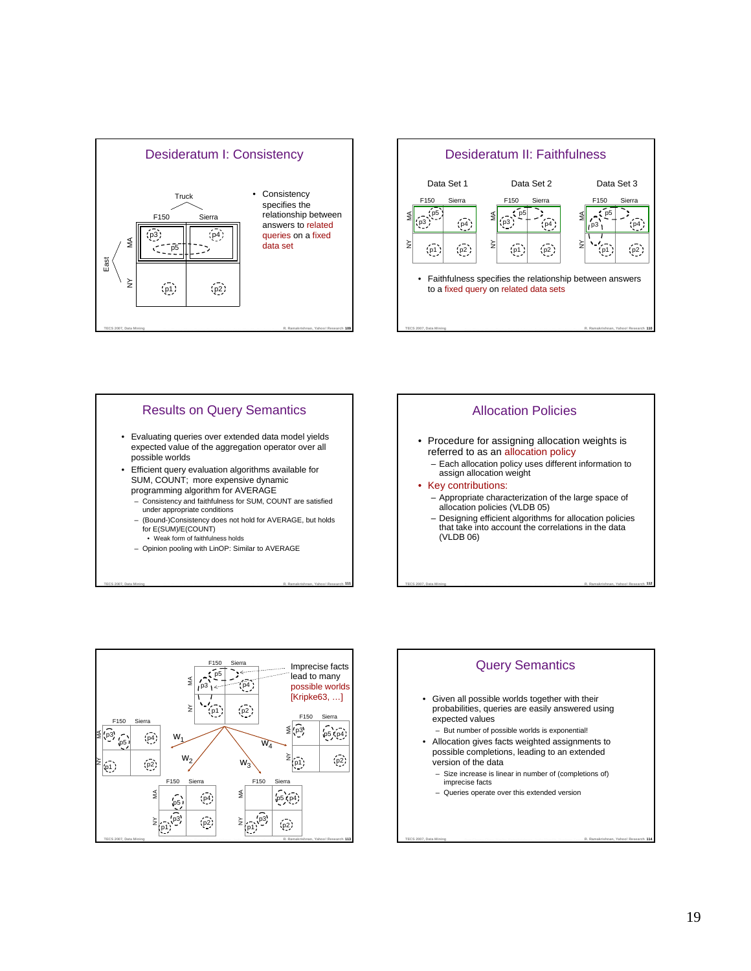







TECS 2007, Data Mining **Characterist Characterist Computer Control** Resolution and Shaville Production Tom R. Ramakrishnan, Yahoo! Research 111







- Given all possible worlds together with their probabilities, queries are easily answered using expected values
	- But number of possible worlds is exponential!
- Allocation gives facts weighted assignments to possible completions, leading to an extended version of the data
	- Size increase is linear in number of (completions of) imprecise facts

TECS 2007, Data Mining **Contract Charge Class Contract Contract Contract Contract Contract Contract Contract Contract Contract Contract Contract Contract Contract Contract Contract Contract Contract Contract Contract Contr** 

– Queries operate over this extended version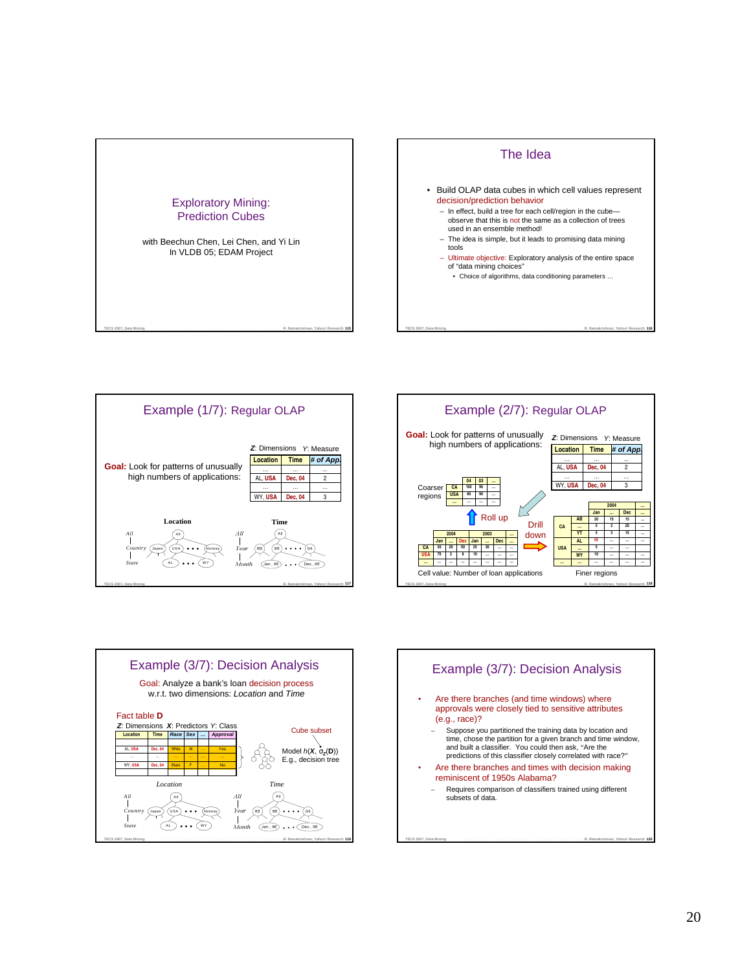









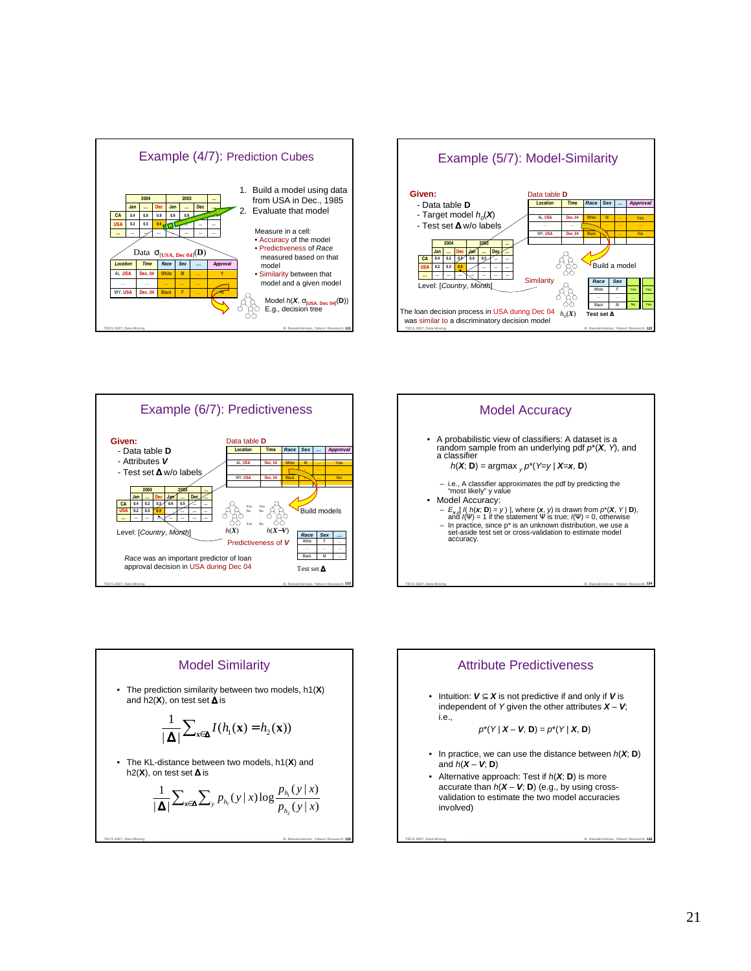







# Model Similarity

• The prediction similarity between two models, h1(**X**) and h2(**X**), on test set ∆ is

$$
\frac{1}{|\Delta|}\sum_{\mathbf{x}\in\Delta}I(h_1(\mathbf{x})=h_2(\mathbf{x}))
$$

• The KL-distance between two models, h1(**X**) and h2(**X**), on test set ∆ is

$$
\frac{1}{|\mathbf{\Delta}|}\sum_{\mathbf{x}\in\mathbf{\Delta}}\sum_{\mathbf{y}}p_{h_{\mathbf{1}}}(y\,|\,x)\log\frac{p_{h_{\mathbf{1}}}(y\,|\,x)}{p_{h_{2}}(y\,|\,x)}
$$

TECS 2007, Data Mining **Contract Company Company Company Company Company Company Company Company Company Company Company Company Company Company Company Company Company Company Company Company Company Company Company Compa** 



TECS 2007, Data Mining **Contract Charge Clube Contract Contract Contract Contract Contract Contract Contract Contract Contract Contract Contract Contract Contract Contract Contract Contract Contract Contract Contract Contr** 

involved)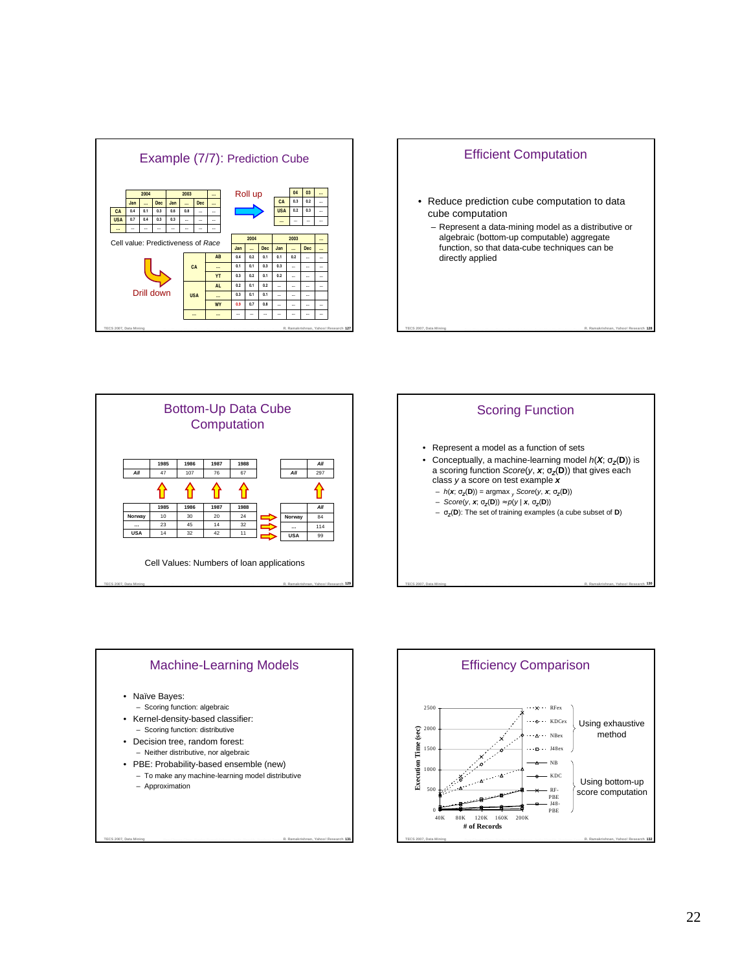









TECS 2007, Data Mining **Contract Company Company Company Company Company Company Company Company Company Company Company Company Company Company Company Company Company Company Company Company Company Company Company Compa** 

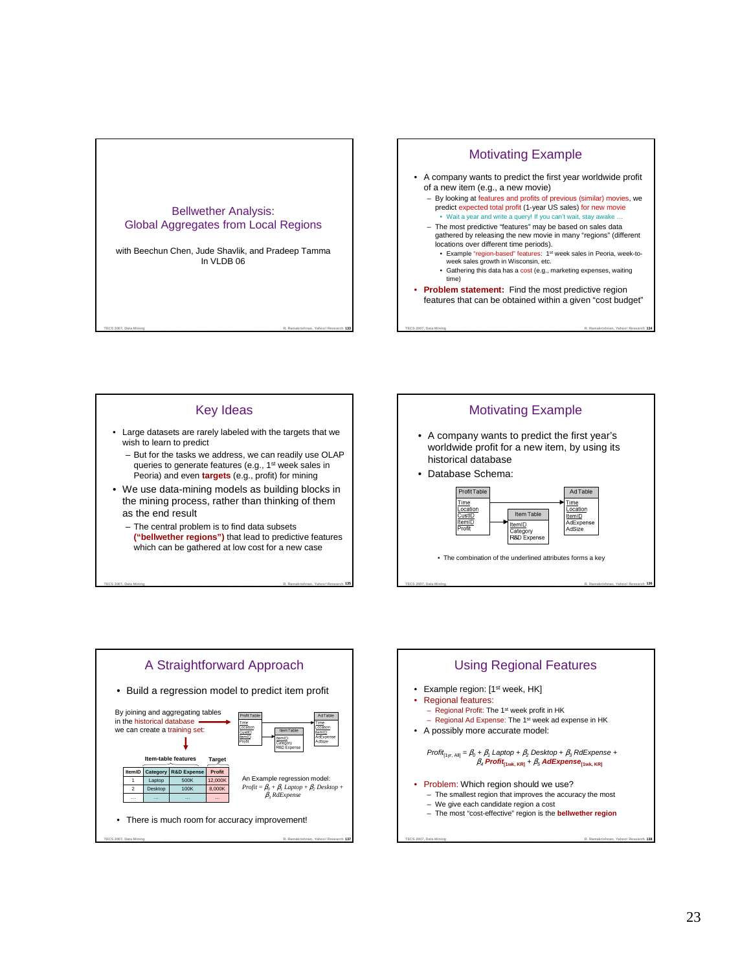



# Key Ideas

- Large datasets are rarely labeled with the targets that we wish to learn to predict
	- But for the tasks we address, we can readily use OLAP queries to generate features (e.g., 1 st week sales in Peoria) and even **targets** (e.g., profit) for mining
- We use data-mining models as building blocks in the mining process, rather than thinking of them as the end result
	- The central problem is to find data subsets
	- **("bellwether regions")** that lead to predictive features which can be gathered at low cost for a new case

TECS 2007, Data Mining **Manus Channel Channel Resolution Provide** Shaville Production Tom R. Ramakrishnan, Yahoo! Research 135



- A company wants to predict the first year's worldwide profit for a new item, by using its historical database
- Database Schema:



• The combination of the underlined attributes forms a key

TECS 2007, Data Mining **Manual Company Character Resolutions and Starting Profession Tommer R. Ramakrishnan, Yahoo! Research 136** 



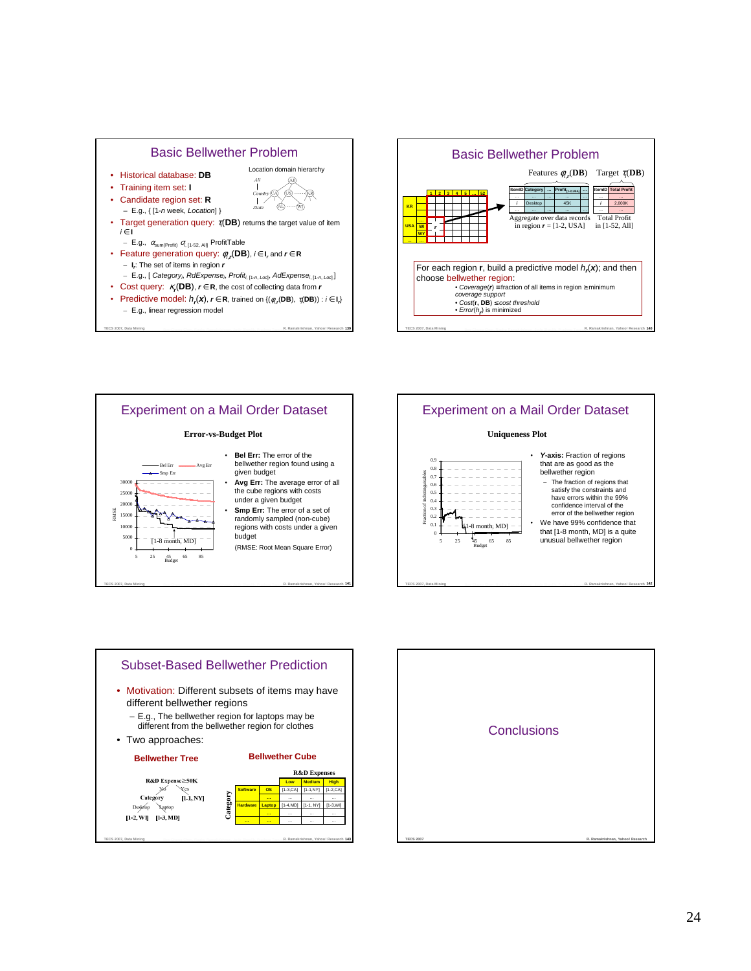







#### **Uniqueness Plot**



- **Y-axis:** Fraction of regions that are as good as the bellwether region
	- The fraction of regions that satisfy the constraints and have errors within the 99% confidence interval of the error of the bellwether region
- We have 99% confidence that that [1-8 month, MD] is a quite unusual bellwether region





TECS 2007, Data Mining **Manual Company Character Resolutions and Starting Profession Times R. Ramakrishnan, Yahoo! Research 142**